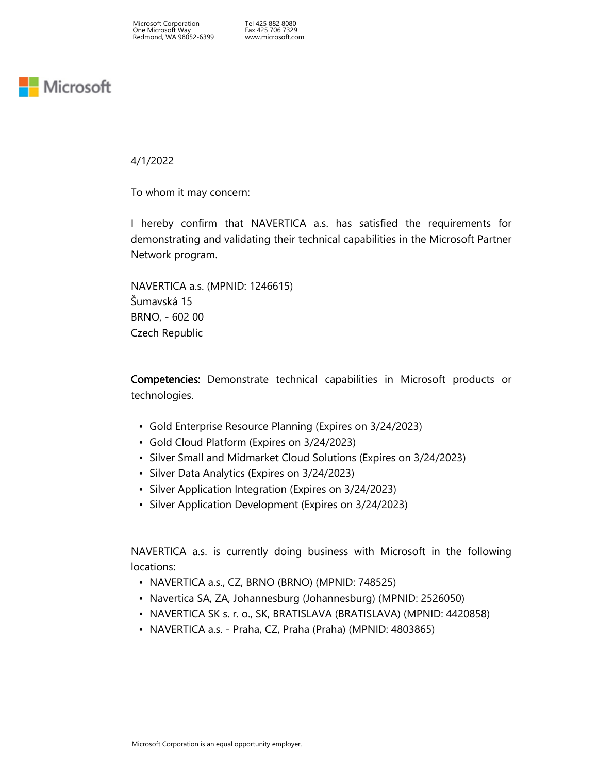Tel 425 882 8080 Fax 425 706 7329 www.microsoft.com

## **Nicrosoft**

4/1/2022

To whom it may concern:

I hereby confirm that NAVERTICA a.s. has satisfied the requirements for demonstrating and validating their technical capabilities in the Microsoft Partner Network program.

NAVERTICA a.s. (MPNID: 1246615) Šumavská 15 BRNO, - 602 00 Czech Republic

Competencies: Demonstrate technical capabilities in Microsoft products or technologies.

- Gold Enterprise Resource Planning (Expires on 3/24/2023)
- Gold Cloud Platform (Expires on 3/24/2023)
- Silver Small and Midmarket Cloud Solutions (Expires on 3/24/2023)
- Silver Data Analytics (Expires on 3/24/2023)
- Silver Application Integration (Expires on 3/24/2023)
- Silver Application Development (Expires on 3/24/2023)

NAVERTICA a.s. is currently doing business with Microsoft in the following locations:

- NAVERTICA a.s., CZ, BRNO (BRNO) (MPNID: 748525)
- Navertica SA, ZA, Johannesburg (Johannesburg) (MPNID: 2526050)
- NAVERTICA SK s. r. o., SK, BRATISLAVA (BRATISLAVA) (MPNID: 4420858)
- NAVERTICA a.s. Praha, CZ, Praha (Praha) (MPNID: 4803865)